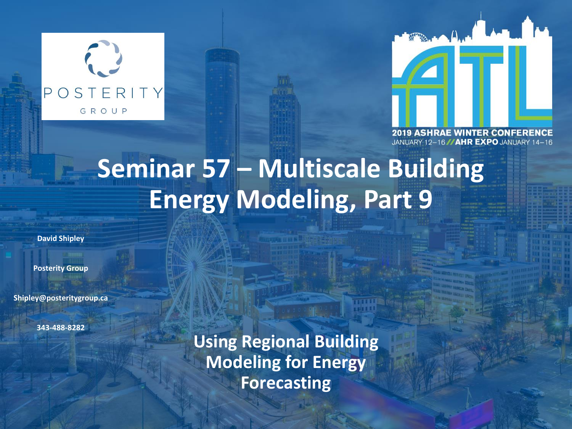



JANUARY 12-16 //AHR EXPO JANUARY

# **Seminar 57 – Multiscale Building Energy Modeling, Part 9**

**David Shipley**

**Posterity Group**

**Shipley@posteritygroup.ca**

**343-488-8282**

**Using Regional Building Modeling for Energy Forecasting**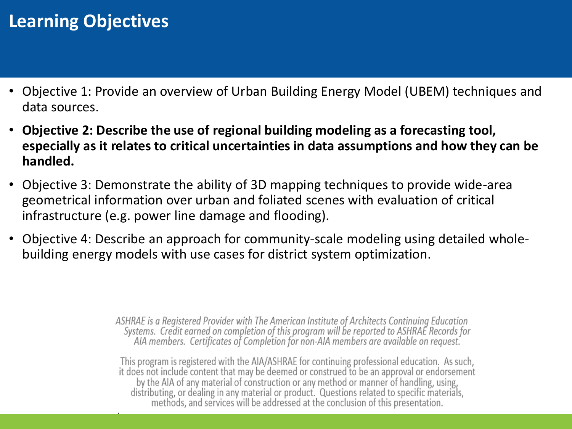# **Learning Objectives**

- Objective 1: Provide an overview of Urban Building Energy Model (UBEM) techniques and data sources.
- **Objective 2: Describe the use of regional building modeling as a forecasting tool, especially as it relates to critical uncertainties in data assumptions and how they can be handled.**
- Objective 3: Demonstrate the ability of 3D mapping techniques to provide wide-area geometrical information over urban and foliated scenes with evaluation of critical infrastructure (e.g. power line damage and flooding).
- Objective 4: Describe an approach for community-scale modeling using detailed wholebuilding energy models with use cases for district system optimization.

ASHRAE is a Registered Provider with The American Institute of Architects Continuing Education Systems. Credit earned on completion of this program will be reported to ASHRAE Records for<br>AIA members. Certificates of Completion for non-AIA members are available on request.

This program is registered with the AIA/ASHRAE for continuing professional education. As such, it does not include content that may be deemed or construed to be an approval or endorsement by the AIA of any material of construction or any method or manner of handling, using, distributing, or dealing in any material or product. Questions related to specific materials, methods, and services will be addressed at the conclusion of this presentation.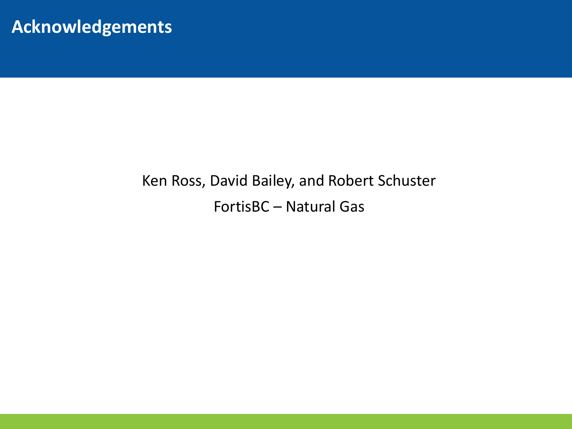### **Acknowledgements**

# Ken Ross, David Bailey, and Robert Schuster FortisBC – Natural Gas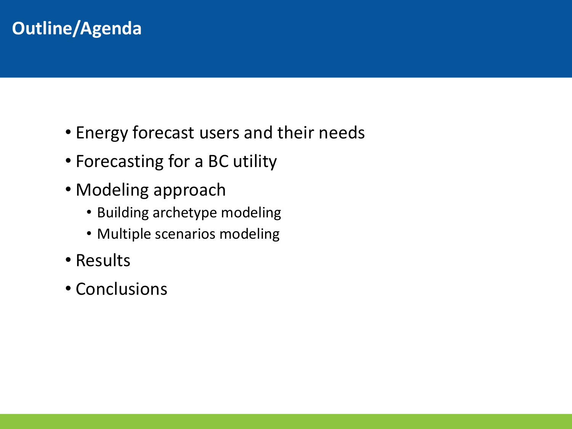# **Outline/Agenda**

- Energy forecast users and their needs
- Forecasting for a BC utility
- Modeling approach
	- Building archetype modeling
	- Multiple scenarios modeling
- Results
- Conclusions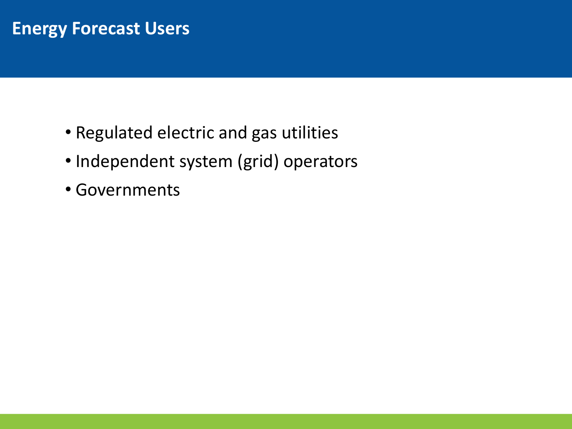### **Energy Forecast Users**

- Regulated electric and gas utilities
- Independent system (grid) operators
- Governments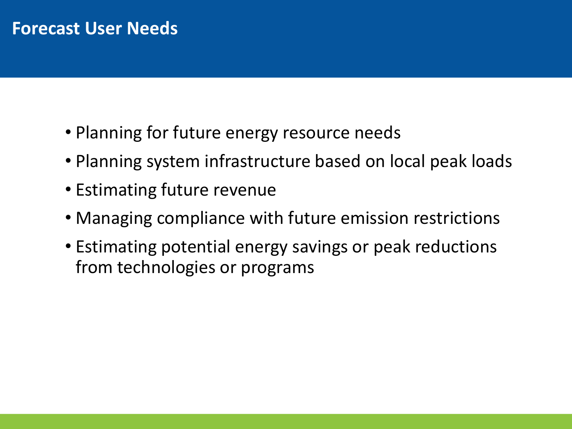#### **Forecast User Needs**

- Planning for future energy resource needs
- Planning system infrastructure based on local peak loads
- Estimating future revenue
- Managing compliance with future emission restrictions
- Estimating potential energy savings or peak reductions from technologies or programs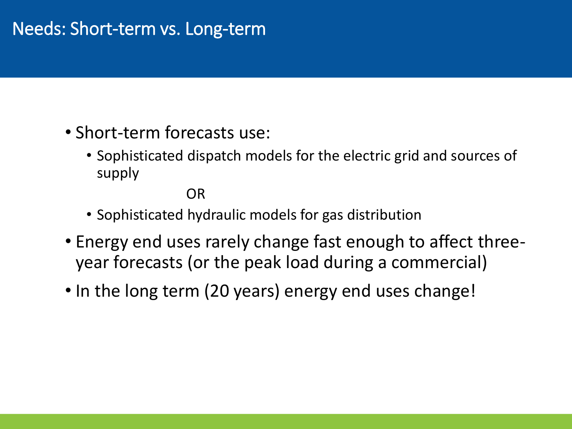# Needs: Short-term vs. Long-term

- Short-term forecasts use:
	- Sophisticated dispatch models for the electric grid and sources of supply

#### OR

- Sophisticated hydraulic models for gas distribution
- Energy end uses rarely change fast enough to affect threeyear forecasts (or the peak load during a commercial)
- In the long term (20 years) energy end uses change!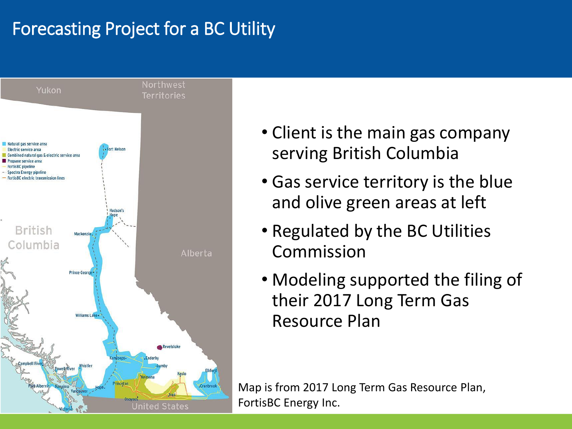# Forecasting Project for a BC Utility



- Client is the main gas company serving British Columbia
- Gas service territory is the blue and olive green areas at left
- Regulated by the BC Utilities Commission
- Modeling supported the filing of their 2017 Long Term Gas Resource Plan

Map is from 2017 Long Term Gas Resource Plan, FortisBC Energy Inc.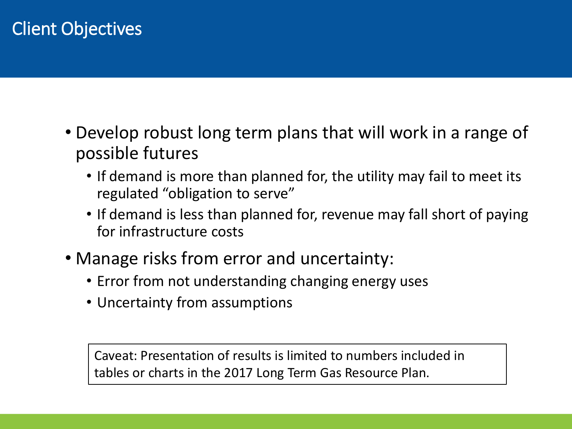# Client Objectives

- Develop robust long term plans that will work in a range of possible futures
	- If demand is more than planned for, the utility may fail to meet its regulated "obligation to serve"
	- If demand is less than planned for, revenue may fall short of paying for infrastructure costs
- Manage risks from error and uncertainty:
	- Error from not understanding changing energy uses
	- Uncertainty from assumptions

Caveat: Presentation of results is limited to numbers included in tables or charts in the 2017 Long Term Gas Resource Plan.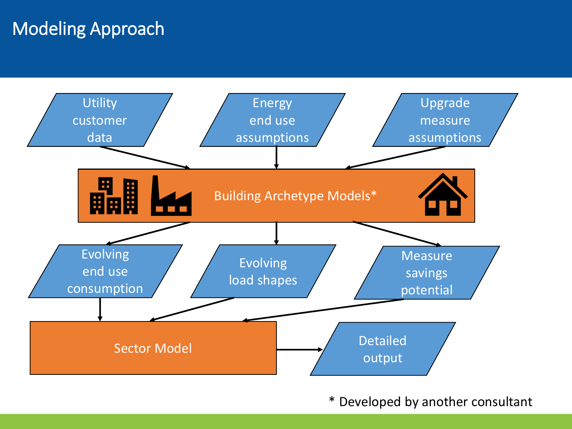# Modeling Approach



\* Developed by another consultant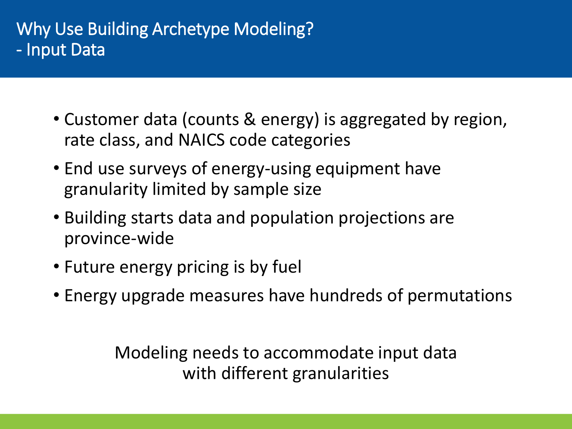### Why Use Building Archetype Modeling? - Input Data

- Customer data (counts & energy) is aggregated by region, rate class, and NAICS code categories
- End use surveys of energy-using equipment have granularity limited by sample size
- Building starts data and population projections are province-wide
- Future energy pricing is by fuel
- Energy upgrade measures have hundreds of permutations

Modeling needs to accommodate input data with different granularities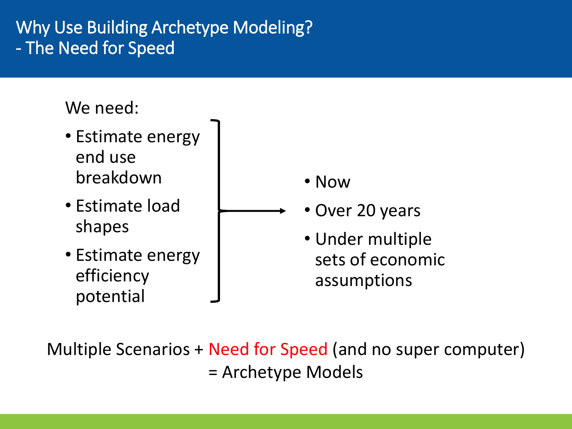# Why Use Building Archetype Modeling? - The Need for Speed

## We need:

- Estimate energy end use breakdown
- Estimate load shapes
- Estimate energy efficiency potential
- Now
- Over 20 years
- Under multiple sets of economic assumptions

Multiple Scenarios + Need for Speed (and no super computer) = Archetype Models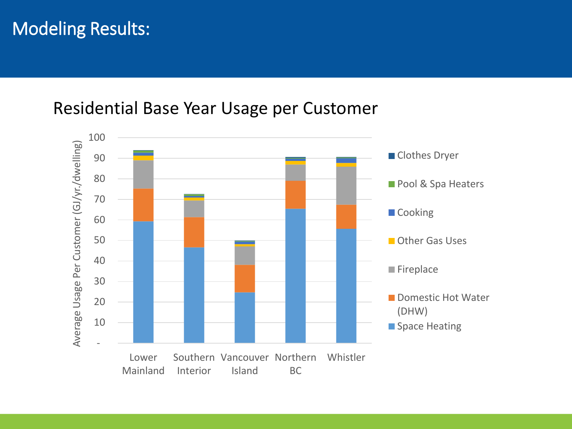# Modeling Results:

#### Residential Base Year Usage per Customer

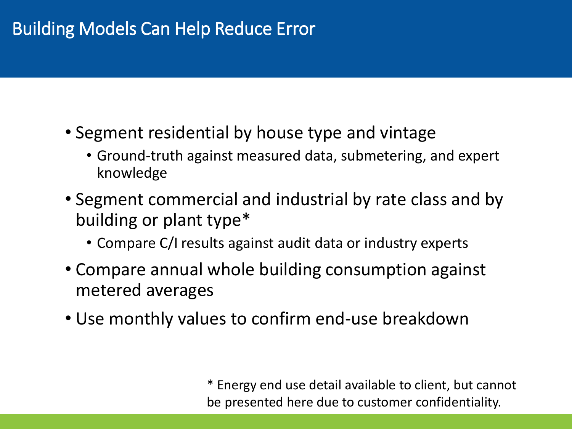# Building Models Can Help Reduce Error

- Segment residential by house type and vintage
	- Ground-truth against measured data, submetering, and expert knowledge
- Segment commercial and industrial by rate class and by building or plant type\*
	- Compare C/I results against audit data or industry experts
- Compare annual whole building consumption against metered averages
- Use monthly values to confirm end-use breakdown

\* Energy end use detail available to client, but cannot be presented here due to customer confidentiality.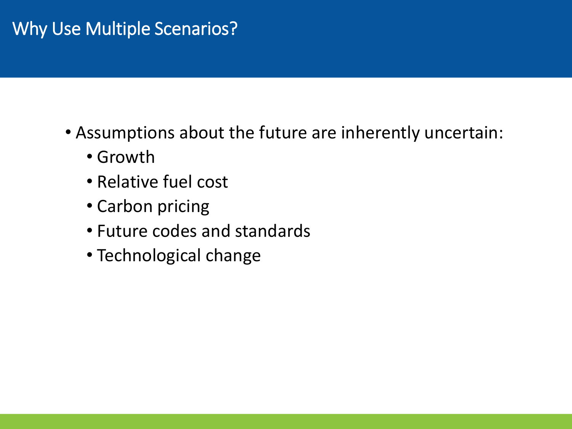# Why Use Multiple Scenarios?

- Assumptions about the future are inherently uncertain:
	- Growth
	- Relative fuel cost
	- Carbon pricing
	- Future codes and standards
	- Technological change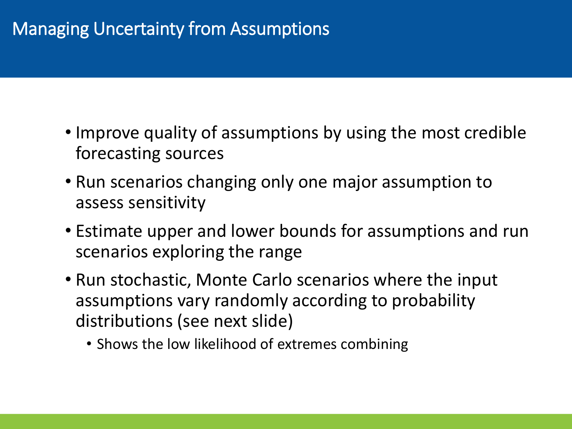# Managing Uncertainty from Assumptions

- Improve quality of assumptions by using the most credible forecasting sources
- Run scenarios changing only one major assumption to assess sensitivity
- Estimate upper and lower bounds for assumptions and run scenarios exploring the range
- Run stochastic, Monte Carlo scenarios where the input assumptions vary randomly according to probability distributions (see next slide)
	- Shows the low likelihood of extremes combining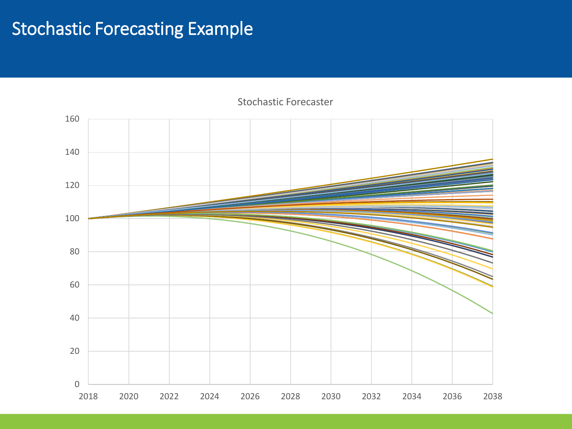## Stochastic Forecasting Example



Stochastic Forecaster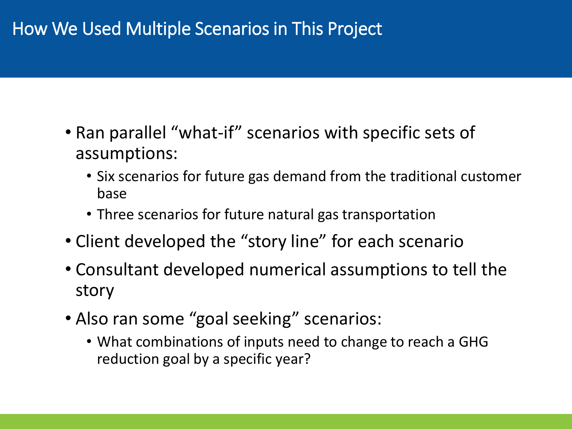# How We Used Multiple Scenarios in This Project

- Ran parallel "what-if" scenarios with specific sets of assumptions:
	- Six scenarios for future gas demand from the traditional customer base
	- Three scenarios for future natural gas transportation
- Client developed the "story line" for each scenario
- Consultant developed numerical assumptions to tell the story
- Also ran some "goal seeking" scenarios:
	- What combinations of inputs need to change to reach a GHG reduction goal by a specific year?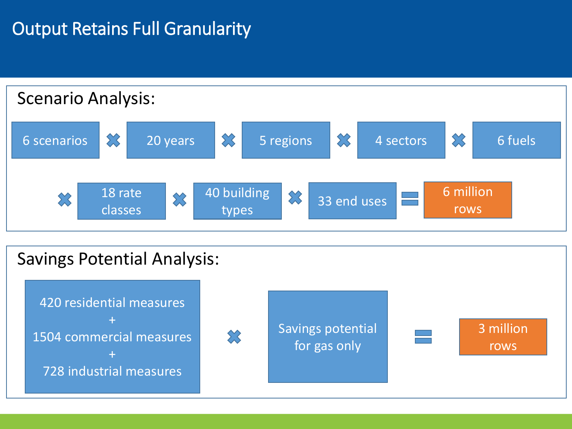# **Output Retains Full Granularity**



#### Savings Potential Analysis:

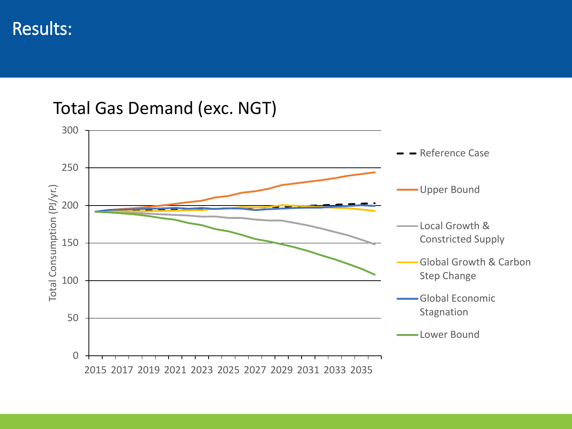Total Gas Demand (exc. NGT)

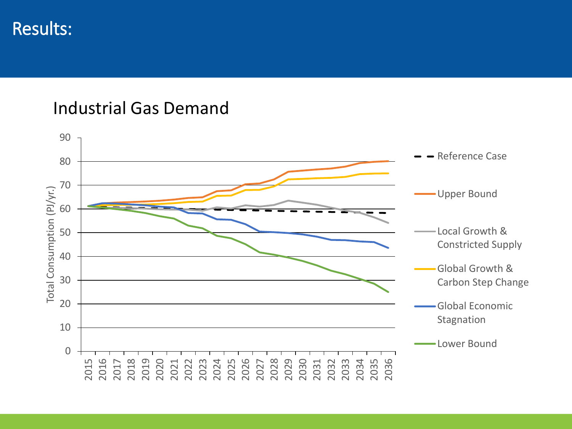#### Industrial Gas Demand

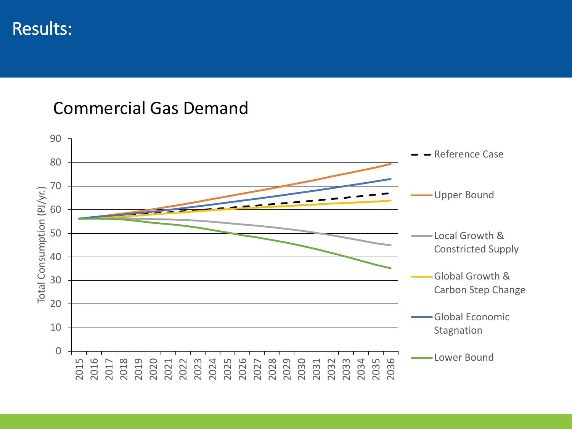#### Commercial Gas Demand

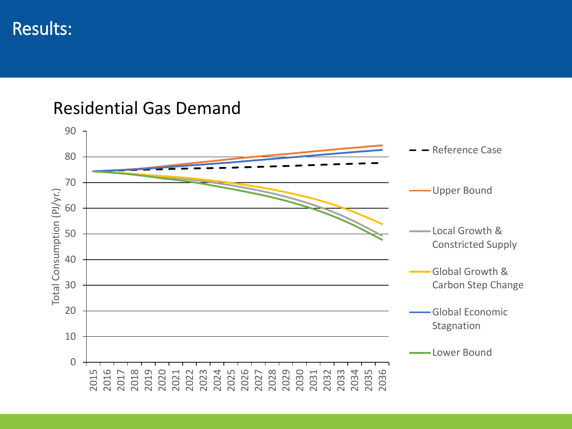#### Residential Gas Demand

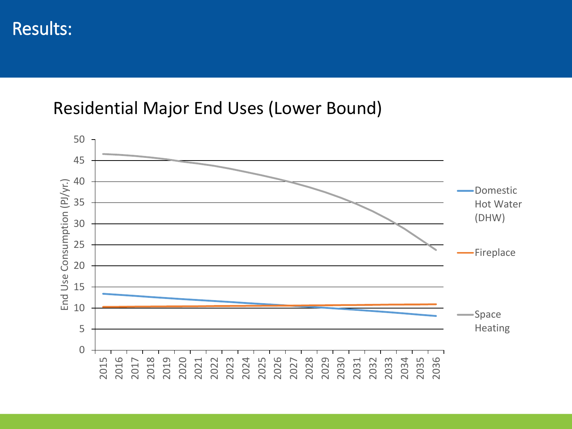#### Residential Major End Uses (Lower Bound)

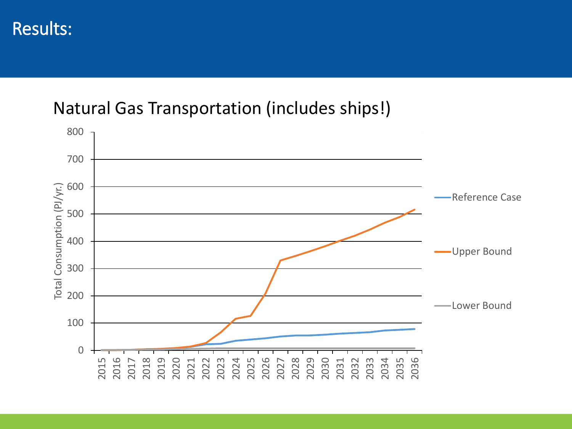#### Natural Gas Transportation (includes ships!)

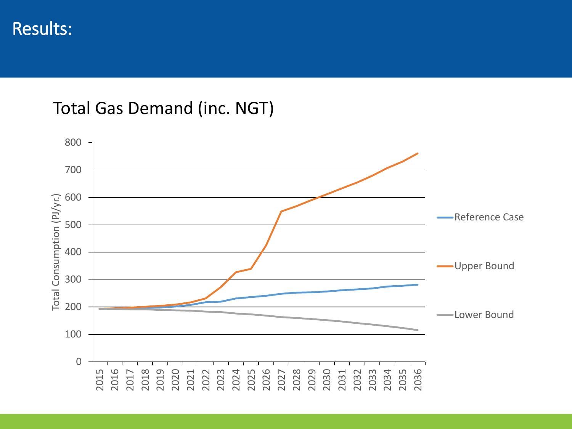#### Total Gas Demand (inc. NGT)

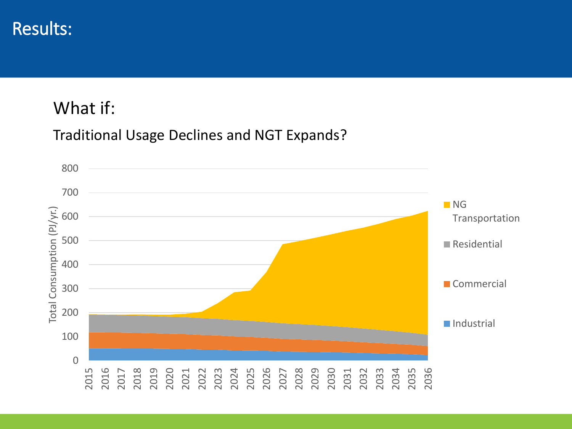#### What if:

#### Traditional Usage Declines and NGT Expands?

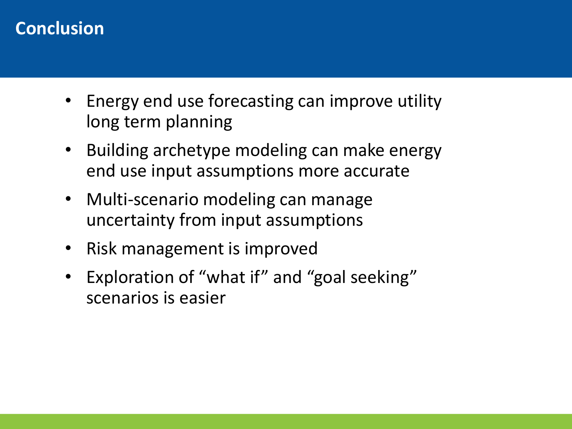# **Conclusion**

- Energy end use forecasting can improve utility long term planning
- Building archetype modeling can make energy end use input assumptions more accurate
- Multi-scenario modeling can manage uncertainty from input assumptions
- Risk management is improved
- Exploration of "what if" and "goal seeking" scenarios is easier